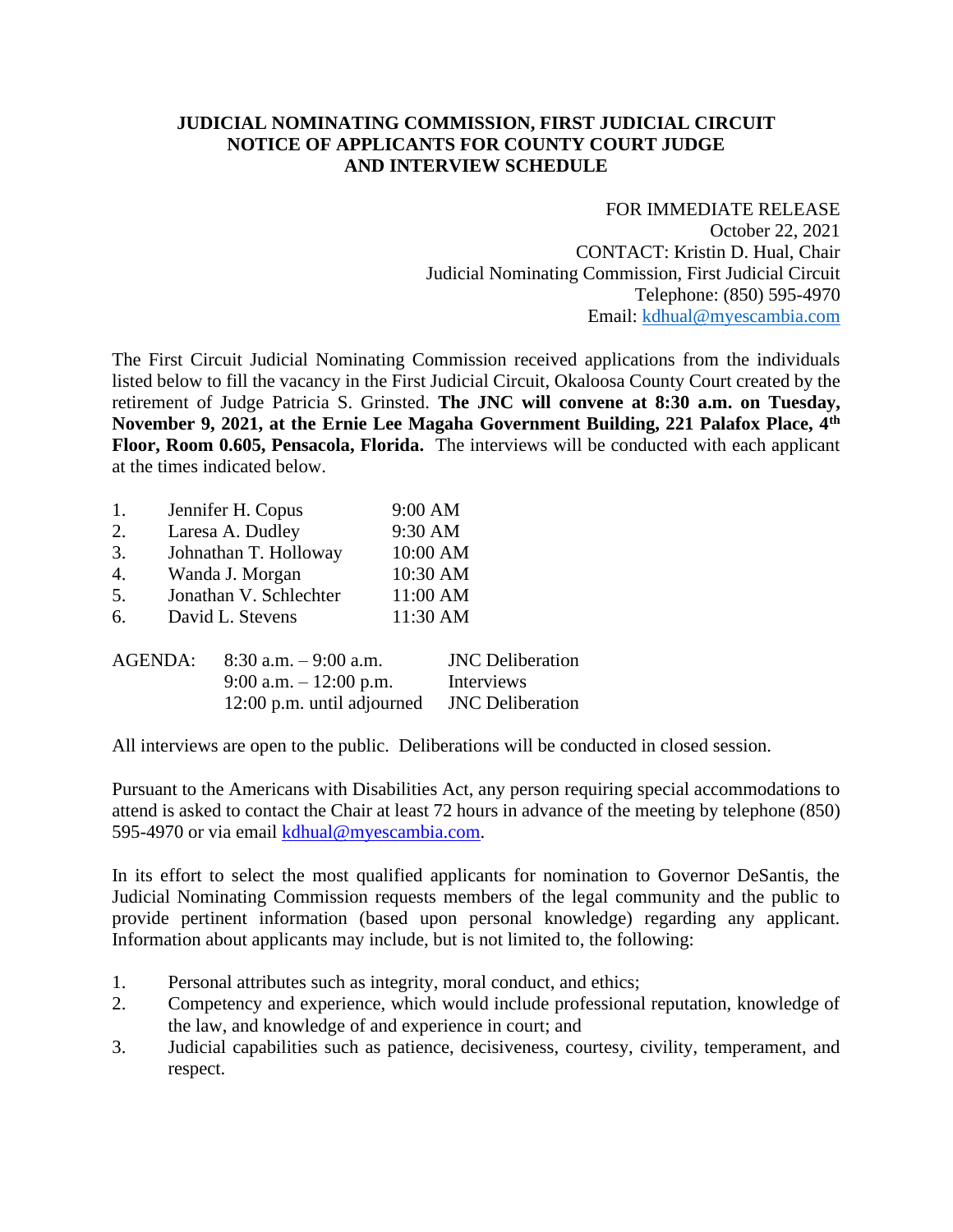## **JUDICIAL NOMINATING COMMISSION, FIRST JUDICIAL CIRCUIT NOTICE OF APPLICANTS FOR COUNTY COURT JUDGE AND INTERVIEW SCHEDULE**

FOR IMMEDIATE RELEASE October 22, 2021 CONTACT: Kristin D. Hual, Chair Judicial Nominating Commission, First Judicial Circuit Telephone: (850) 595-4970 Email: [kdhual@myescambia.com](mailto:kdhual@myescambia.com)

The First Circuit Judicial Nominating Commission received applications from the individuals listed below to fill the vacancy in the First Judicial Circuit, Okaloosa County Court created by the retirement of Judge Patricia S. Grinsted. **The JNC will convene at 8:30 a.m. on Tuesday, November 9, 2021, at the Ernie Lee Magaha Government Building, 221 Palafox Place, 4th Floor, Room 0.605, Pensacola, Florida.** The interviews will be conducted with each applicant at the times indicated below.

| 1.             |                        | Jennifer H. Copus          | 9:00 AM |                         |  |
|----------------|------------------------|----------------------------|---------|-------------------------|--|
| 2.             |                        | Laresa A. Dudley           |         | 9:30 AM                 |  |
| 3.             |                        | Johnathan T. Holloway      |         | 10:00 AM                |  |
| 4.             |                        | Wanda J. Morgan            |         | 10:30 AM                |  |
| 5.             | Jonathan V. Schlechter |                            |         | 11:00 AM                |  |
| 6.             | David L. Stevens       |                            |         | 11:30 AM                |  |
| <b>AGENDA:</b> |                        | $8:30$ a.m. $-9:00$ a.m.   |         | <b>JNC</b> Deliberation |  |
|                |                        | 9:00 a.m. $-12:00$ p.m.    |         | Interviews              |  |
|                |                        | 12:00 p.m. until adjourned |         | <b>JNC</b> Deliberation |  |

All interviews are open to the public. Deliberations will be conducted in closed session.

Pursuant to the Americans with Disabilities Act, any person requiring special accommodations to attend is asked to contact the Chair at least 72 hours in advance of the meeting by telephone (850) 595-4970 or via email [kdhual@myescambia.com.](mailto:kdhual@myescambia.com)

In its effort to select the most qualified applicants for nomination to Governor DeSantis, the Judicial Nominating Commission requests members of the legal community and the public to provide pertinent information (based upon personal knowledge) regarding any applicant. Information about applicants may include, but is not limited to, the following:

- 1. Personal attributes such as integrity, moral conduct, and ethics;
- 2. Competency and experience, which would include professional reputation, knowledge of the law, and knowledge of and experience in court; and
- 3. Judicial capabilities such as patience, decisiveness, courtesy, civility, temperament, and respect.